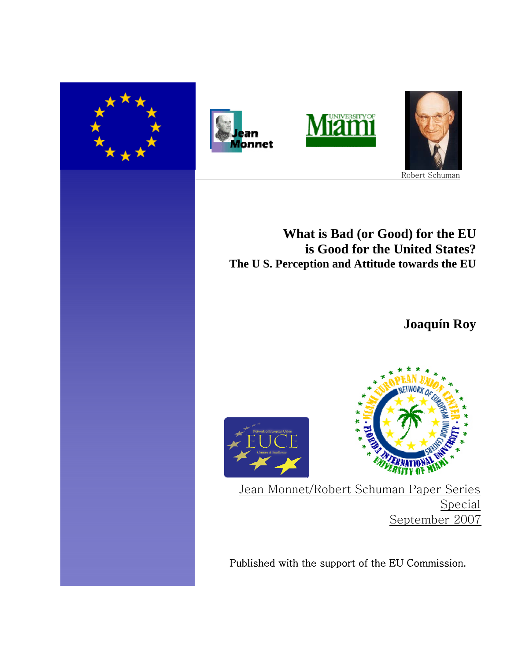







# **What is Bad (or Good) for the EU is Good for the United States? The U S. Perception and Attitude towards the EU**

**Joaquín Roy**





Jean Monnet/Robert Schuman Paper Series Special September 2007

Published with the support of the EU Commission.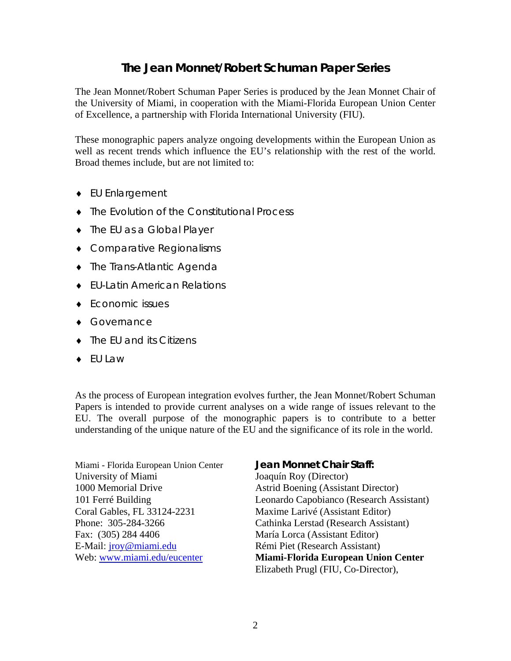# **The Jean Monnet/Robert Schuman Paper Series**

The Jean Monnet/Robert Schuman Paper Series is produced by the Jean Monnet Chair of the University of Miami, in cooperation with the Miami-Florida European Union Center of Excellence, a partnership with Florida International University (FIU).

These monographic papers analyze ongoing developments within the European Union as well as recent trends which influence the EU's relationship with the rest of the world. Broad themes include, but are not limited to:

- ♦ EU Enlargement
- ♦ The Evolution of the Constitutional Process
- ♦ The EU as a Global Player
- ♦ Comparative Regionalisms
- ♦ The Trans-Atlantic Agenda
- ♦ EU-Latin American Relations
- ♦ Economic issues
- ♦ Governance
- ♦ The EU and its Citizens
- ♦ EU Law

As the process of European integration evolves further, the Jean Monnet/Robert Schuman Papers is intended to provide current analyses on a wide range of issues relevant to the EU. The overall purpose of the monographic papers is to contribute to a better understanding of the unique nature of the EU and the significance of its role in the world.

Miami - Florida European Union Center **Jean Monnet Chair Staff:** University of Miami Joaquín Roy (Director) 1000 Memorial Drive Astrid Boening (Assistant Director) Coral Gables, FL 33124-2231 Maxime Larivé (Assistant Editor) Fax: (305) 284 4406 María Lorca (Assistant Editor) E-Mail: *jroy@miami.edu* Rémi Piet (Research Assistant)

101 Ferré Building Leonardo Capobianco (Research Assistant) Phone: 305-284-3266 Cathinka Lerstad (Research Assistant) Web: www.miami.edu/eucenter **Miami-Florida European Union Center** Elizabeth Prugl (FIU, Co-Director),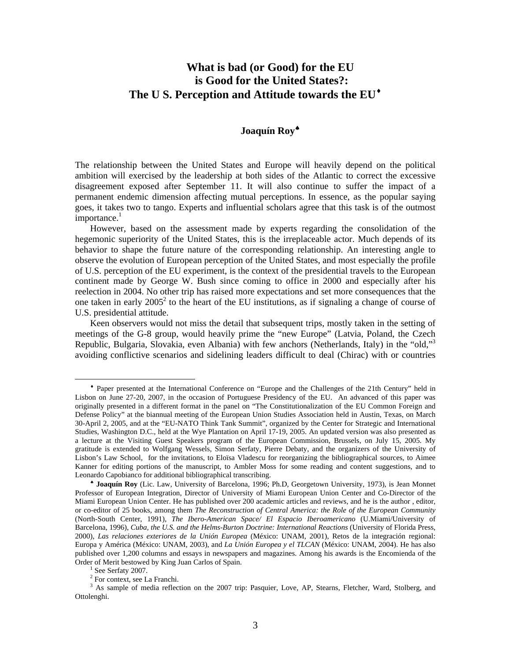# **What is bad (or Good) for the EU is Good for the United States?: The U S. Perception and Attitude towards the EU**♦

# **Joaquín Roy**♠

The relationship between the United States and Europe will heavily depend on the political ambition will exercised by the leadership at both sides of the Atlantic to correct the excessive disagreement exposed after September 11. It will also continue to suffer the impact of a permanent endemic dimension affecting mutual perceptions. In essence, as the popular saying goes, it takes two to tango. Experts and influential scholars agree that this task is of the outmost importance. $<sup>1</sup>$ </sup>

However, based on the assessment made by experts regarding the consolidation of the hegemonic superiority of the United States, this is the irreplaceable actor. Much depends of its behavior to shape the future nature of the corresponding relationship. An interesting angle to observe the evolution of European perception of the United States, and most especially the profile of U.S. perception of the EU experiment, is the context of the presidential travels to the European continent made by George W. Bush since coming to office in 2000 and especially after his reelection in 2004. No other trip has raised more expectations and set more consequences that the one taken in early  $2005^2$  to the heart of the EU institutions, as if signaling a change of course of U.S. presidential attitude.

Keen observers would not miss the detail that subsequent trips, mostly taken in the setting of meetings of the G-8 group, would heavily prime the "new Europe" (Latvia, Poland, the Czech Republic, Bulgaria, Slovakia, even Albania) with few anchors (Netherlands, Italy) in the "old,"<sup>3</sup> avoiding conflictive scenarios and sidelining leaders difficult to deal (Chirac) with or countries

 $\overline{a}$ 

<sup>♦</sup> Paper presented at the International Conference on "Europe and the Challenges of the 21th Century" held in Lisbon on June 27-20, 2007, in the occasion of Portuguese Presidency of the EU. An advanced of this paper was originally presented in a different format in the panel on "The Constitutionalization of the EU Common Foreign and Defense Policy" at the biannual meeting of the European Union Studies Association held in Austin, Texas, on March 30-April 2, 2005, and at the "EU-NATO Think Tank Summit", organized by the Center for Strategic and International Studies, Washington D.C., held at the Wye Plantation on April 17-19, 2005. An updated version was also presented as a lecture at the Visiting Guest Speakers program of the European Commission, Brussels, on July 15, 2005. My gratitude is extended to Wolfgang Wessels, Simon Serfaty, Pierre Debaty, and the organizers of the University of Lisbon's Law School, for the invitations, to Eloïsa Vladescu for reorganizing the bibliographical sources, to Aimee Kanner for editing portions of the manuscript, to Ambler Moss for some reading and content suggestions, and to Leonardo Capobianco for additional bibliographical transcribing.

<sup>♠</sup> **Joaquín Roy** (Lic. Law, University of Barcelona, 1996; Ph.D, Georgetown University, 1973), is Jean Monnet Professor of European Integration, Director of University of Miami European Union Center and Co-Director of the Miami European Union Center. He has published over 200 academic articles and reviews, and he is the author , editor, or co-editor of 25 books, among them *The Reconstruction of Central America: the Role of the European Community*  (North-South Center, 1991), *The Ibero-American Space/ El Espacio Iberoamericano* (U.Miami/University of Barcelona, 1996), *Cuba, the U.S. and the Helms-Burton Doctrine: International Reactions* (University of Florida Press, 2000), *Las relaciones exteriores de la Unión Europea* (México: UNAM, 2001), Retos de la integración regional: Europa y América (México: UNAM, 2003), and *La Unión Europea y el TLCAN* (México: UNAM, 2004). He has also published over 1,200 columns and essays in newspapers and magazines. Among his awards is the Encomienda of the Order of Merit bestowed by King Juan Carlos of Spain. 1

See Serfaty 2007.

<sup>&</sup>lt;sup>2</sup> For context, see La Franchi.

<sup>&</sup>lt;sup>3</sup> As sample of media reflection on the 2007 trip: Pasquier, Love, AP, Stearns, Fletcher, Ward, Stolberg, and Ottolenghi.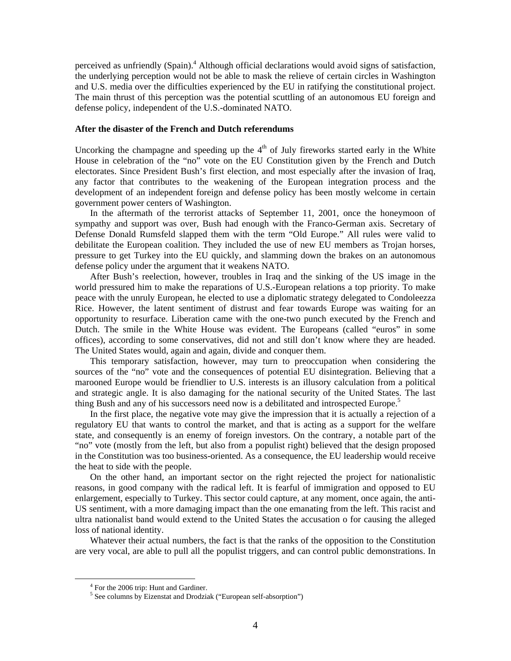perceived as unfriendly (Spain).<sup>4</sup> Although official declarations would avoid signs of satisfaction, the underlying perception would not be able to mask the relieve of certain circles in Washington and U.S. media over the difficulties experienced by the EU in ratifying the constitutional project. The main thrust of this perception was the potential scuttling of an autonomous EU foreign and defense policy, independent of the U.S.-dominated NATO.

## **After the disaster of the French and Dutch referendums**

Uncorking the champagne and speeding up the  $4<sup>th</sup>$  of July fireworks started early in the White House in celebration of the "no" vote on the EU Constitution given by the French and Dutch electorates. Since President Bush's first election, and most especially after the invasion of Iraq, any factor that contributes to the weakening of the European integration process and the development of an independent foreign and defense policy has been mostly welcome in certain government power centers of Washington.

In the aftermath of the terrorist attacks of September 11, 2001, once the honeymoon of sympathy and support was over, Bush had enough with the Franco-German axis. Secretary of Defense Donald Rumsfeld slapped them with the term "Old Europe." All rules were valid to debilitate the European coalition. They included the use of new EU members as Trojan horses, pressure to get Turkey into the EU quickly, and slamming down the brakes on an autonomous defense policy under the argument that it weakens NATO.

After Bush's reelection, however, troubles in Iraq and the sinking of the US image in the world pressured him to make the reparations of U.S.-European relations a top priority. To make peace with the unruly European, he elected to use a diplomatic strategy delegated to Condoleezza Rice. However, the latent sentiment of distrust and fear towards Europe was waiting for an opportunity to resurface. Liberation came with the one-two punch executed by the French and Dutch. The smile in the White House was evident. The Europeans (called "euros" in some offices), according to some conservatives, did not and still don't know where they are headed. The United States would, again and again, divide and conquer them.

This temporary satisfaction, however, may turn to preoccupation when considering the sources of the "no" vote and the consequences of potential EU disintegration. Believing that a marooned Europe would be friendlier to U.S. interests is an illusory calculation from a political and strategic angle. It is also damaging for the national security of the United States. The last thing Bush and any of his successors need now is a debilitated and introspected Europe.<sup>5</sup>

In the first place, the negative vote may give the impression that it is actually a rejection of a regulatory EU that wants to control the market, and that is acting as a support for the welfare state, and consequently is an enemy of foreign investors. On the contrary, a notable part of the "no" vote (mostly from the left, but also from a populist right) believed that the design proposed in the Constitution was too business-oriented. As a consequence, the EU leadership would receive the heat to side with the people.

On the other hand, an important sector on the right rejected the project for nationalistic reasons, in good company with the radical left. It is fearful of immigration and opposed to EU enlargement, especially to Turkey. This sector could capture, at any moment, once again, the anti-US sentiment, with a more damaging impact than the one emanating from the left. This racist and ultra nationalist band would extend to the United States the accusation o for causing the alleged loss of national identity.

Whatever their actual numbers, the fact is that the ranks of the opposition to the Constitution are very vocal, are able to pull all the populist triggers, and can control public demonstrations. In

 $\frac{1}{4}$ <sup>4</sup> For the 2006 trip: Hunt and Gardiner.

<sup>&</sup>lt;sup>5</sup> See columns by Eizenstat and Drodziak ("European self-absorption")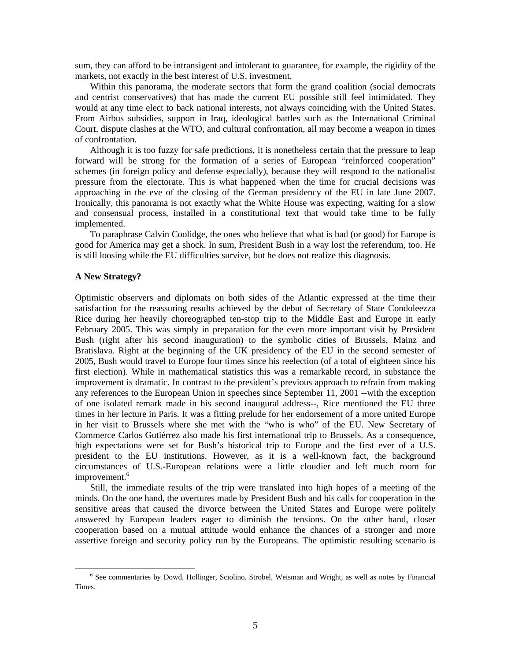sum, they can afford to be intransigent and intolerant to guarantee, for example, the rigidity of the markets, not exactly in the best interest of U.S. investment.

Within this panorama, the moderate sectors that form the grand coalition (social democrats and centrist conservatives) that has made the current EU possible still feel intimidated. They would at any time elect to back national interests, not always coinciding with the United States. From Airbus subsidies, support in Iraq, ideological battles such as the International Criminal Court, dispute clashes at the WTO, and cultural confrontation, all may become a weapon in times of confrontation.

Although it is too fuzzy for safe predictions, it is nonetheless certain that the pressure to leap forward will be strong for the formation of a series of European "reinforced cooperation" schemes (in foreign policy and defense especially), because they will respond to the nationalist pressure from the electorate. This is what happened when the time for crucial decisions was approaching in the eve of the closing of the German presidency of the EU in late June 2007. Ironically, this panorama is not exactly what the White House was expecting, waiting for a slow and consensual process, installed in a constitutional text that would take time to be fully implemented.

To paraphrase Calvin Coolidge, the ones who believe that what is bad (or good) for Europe is good for America may get a shock. In sum, President Bush in a way lost the referendum, too. He is still loosing while the EU difficulties survive, but he does not realize this diagnosis.

#### **A New Strategy?**

Optimistic observers and diplomats on both sides of the Atlantic expressed at the time their satisfaction for the reassuring results achieved by the debut of Secretary of State Condoleezza Rice during her heavily choreographed ten-stop trip to the Middle East and Europe in early February 2005. This was simply in preparation for the even more important visit by President Bush (right after his second inauguration) to the symbolic cities of Brussels, Mainz and Bratislava. Right at the beginning of the UK presidency of the EU in the second semester of 2005, Bush would travel to Europe four times since his reelection (of a total of eighteen since his first election). While in mathematical statistics this was a remarkable record, in substance the improvement is dramatic. In contrast to the president's previous approach to refrain from making any references to the European Union in speeches since September 11, 2001 --with the exception of one isolated remark made in his second inaugural address--, Rice mentioned the EU three times in her lecture in Paris. It was a fitting prelude for her endorsement of a more united Europe in her visit to Brussels where she met with the "who is who" of the EU. New Secretary of Commerce Carlos Gutiérrez also made his first international trip to Brussels. As a consequence, high expectations were set for Bush's historical trip to Europe and the first ever of a U.S. president to the EU institutions. However, as it is a well-known fact, the background circumstances of U.S.-European relations were a little cloudier and left much room for improvement.<sup>6</sup>

Still, the immediate results of the trip were translated into high hopes of a meeting of the minds. On the one hand, the overtures made by President Bush and his calls for cooperation in the sensitive areas that caused the divorce between the United States and Europe were politely answered by European leaders eager to diminish the tensions. On the other hand, closer cooperation based on a mutual attitude would enhance the chances of a stronger and more assertive foreign and security policy run by the Europeans. The optimistic resulting scenario is

 <sup>6</sup> <sup>6</sup> See commentaries by Dowd, Hollinger, Sciolino, Strobel, Weisman and Wright, as well as notes by Financial Times.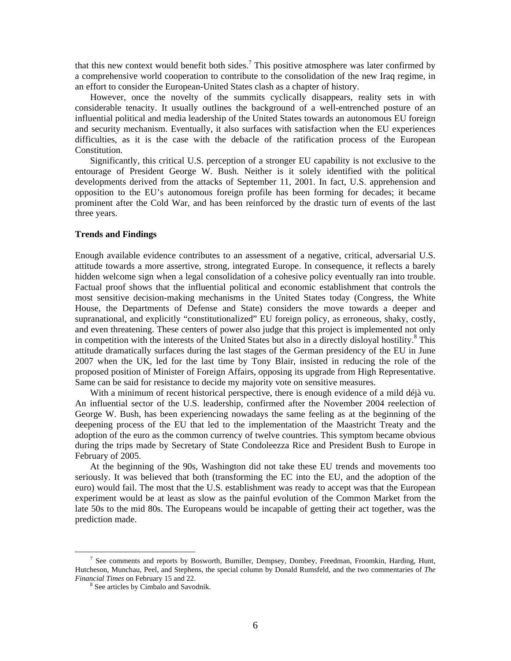that this new context would benefit both sides.<sup>7</sup> This positive atmosphere was later confirmed by a comprehensive world cooperation to contribute to the consolidation of the new Iraq regime, in an effort to consider the European-United States clash as a chapter of history.

However, once the novelty of the summits cyclically disappears, reality sets in with considerable tenacity. It usually outlines the background of a well-entrenched posture of an influential political and media leadership of the United States towards an autonomous EU foreign and security mechanism. Eventually, it also surfaces with satisfaction when the EU experiences difficulties, as it is the case with the debacle of the ratification process of the European Constitution.

Significantly, this critical U.S. perception of a stronger EU capability is not exclusive to the entourage of President George W. Bush. Neither is it solely identified with the political developments derived from the attacks of September 11, 2001. In fact, U.S. apprehension and opposition to the EU's autonomous foreign profile has been forming for decades; it became prominent after the Cold War, and has been reinforced by the drastic turn of events of the last three years.

## **Trends and Findings**

Enough available evidence contributes to an assessment of a negative, critical, adversarial U.S. attitude towards a more assertive, strong, integrated Europe. In consequence, it reflects a barely hidden welcome sign when a legal consolidation of a cohesive policy eventually ran into trouble. Factual proof shows that the influential political and economic establishment that controls the most sensitive decision-making mechanisms in the United States today (Congress, the White House, the Departments of Defense and State) considers the move towards a deeper and supranational, and explicitly "constitutionalized" EU foreign policy, as erroneous, shaky, costly, and even threatening. These centers of power also judge that this project is implemented not only in competition with the interests of the United States but also in a directly disloyal hostility.<sup>8</sup> This attitude dramatically surfaces during the last stages of the German presidency of the EU in June 2007 when the UK, led for the last time by Tony Blair, insisted in reducing the role of the proposed position of Minister of Foreign Affairs, opposing its upgrade from High Representative. Same can be said for resistance to decide my majority vote on sensitive measures.

With a minimum of recent historical perspective, there is enough evidence of a mild déjà vu. An influential sector of the U.S. leadership, confirmed after the November 2004 reelection of George W. Bush, has been experiencing nowadays the same feeling as at the beginning of the deepening process of the EU that led to the implementation of the Maastricht Treaty and the adoption of the euro as the common currency of twelve countries. This symptom became obvious during the trips made by Secretary of State Condoleezza Rice and President Bush to Europe in February of 2005.

At the beginning of the 90s, Washington did not take these EU trends and movements too seriously. It was believed that both (transforming the EC into the EU, and the adoption of the euro) would fail. The most that the U.S. establishment was ready to accept was that the European experiment would be at least as slow as the painful evolution of the Common Market from the late 50s to the mid 80s. The Europeans would be incapable of getting their act together, was the prediction made.

 $\frac{1}{7}$ <sup>7</sup> See comments and reports by Bosworth, Bumiller, Dempsey, Dombey, Freedman, Froomkin, Harding, Hunt, Hutcheson, Munchau, Peel, and Stephens, the special column by Donald Rumsfeld, and the two commentaries of *The Financial Times* on February 15 and 22.

<sup>&</sup>lt;sup>8</sup> See articles by Cimbalo and Savodnik.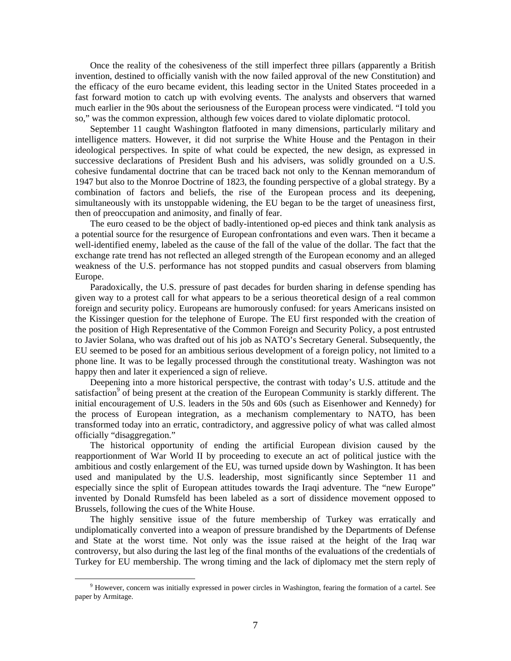Once the reality of the cohesiveness of the still imperfect three pillars (apparently a British invention, destined to officially vanish with the now failed approval of the new Constitution) and the efficacy of the euro became evident, this leading sector in the United States proceeded in a fast forward motion to catch up with evolving events. The analysts and observers that warned much earlier in the 90s about the seriousness of the European process were vindicated. "I told you so," was the common expression, although few voices dared to violate diplomatic protocol.

September 11 caught Washington flatfooted in many dimensions, particularly military and intelligence matters. However, it did not surprise the White House and the Pentagon in their ideological perspectives. In spite of what could be expected, the new design, as expressed in successive declarations of President Bush and his advisers, was solidly grounded on a U.S. cohesive fundamental doctrine that can be traced back not only to the Kennan memorandum of 1947 but also to the Monroe Doctrine of 1823, the founding perspective of a global strategy. By a combination of factors and beliefs, the rise of the European process and its deepening, simultaneously with its unstoppable widening, the EU began to be the target of uneasiness first, then of preoccupation and animosity, and finally of fear.

The euro ceased to be the object of badly-intentioned op-ed pieces and think tank analysis as a potential source for the resurgence of European confrontations and even wars. Then it became a well-identified enemy, labeled as the cause of the fall of the value of the dollar. The fact that the exchange rate trend has not reflected an alleged strength of the European economy and an alleged weakness of the U.S. performance has not stopped pundits and casual observers from blaming Europe.

Paradoxically, the U.S. pressure of past decades for burden sharing in defense spending has given way to a protest call for what appears to be a serious theoretical design of a real common foreign and security policy. Europeans are humorously confused: for years Americans insisted on the Kissinger question for the telephone of Europe. The EU first responded with the creation of the position of High Representative of the Common Foreign and Security Policy, a post entrusted to Javier Solana, who was drafted out of his job as NATO's Secretary General. Subsequently, the EU seemed to be posed for an ambitious serious development of a foreign policy, not limited to a phone line. It was to be legally processed through the constitutional treaty. Washington was not happy then and later it experienced a sign of relieve.

Deepening into a more historical perspective, the contrast with today's U.S. attitude and the satisfaction<sup>9</sup> of being present at the creation of the European Community is starkly different. The initial encouragement of U.S. leaders in the 50s and 60s (such as Eisenhower and Kennedy) for the process of European integration, as a mechanism complementary to NATO, has been transformed today into an erratic, contradictory, and aggressive policy of what was called almost officially "disaggregation."

The historical opportunity of ending the artificial European division caused by the reapportionment of War World II by proceeding to execute an act of political justice with the ambitious and costly enlargement of the EU, was turned upside down by Washington. It has been used and manipulated by the U.S. leadership, most significantly since September 11 and especially since the split of European attitudes towards the Iraqi adventure. The "new Europe" invented by Donald Rumsfeld has been labeled as a sort of dissidence movement opposed to Brussels, following the cues of the White House.

The highly sensitive issue of the future membership of Turkey was erratically and undiplomatically converted into a weapon of pressure brandished by the Departments of Defense and State at the worst time. Not only was the issue raised at the height of the Iraq war controversy, but also during the last leg of the final months of the evaluations of the credentials of Turkey for EU membership. The wrong timing and the lack of diplomacy met the stern reply of

 $\frac{1}{9}$ <sup>9</sup> However, concern was initially expressed in power circles in Washington, fearing the formation of a cartel. See paper by Armitage.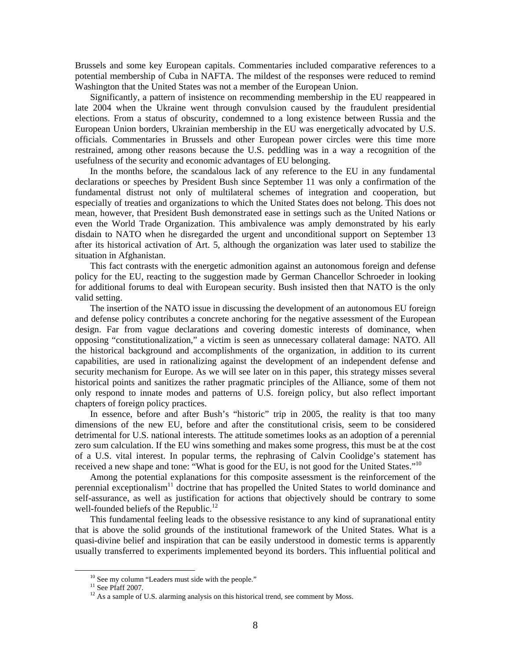Brussels and some key European capitals. Commentaries included comparative references to a potential membership of Cuba in NAFTA. The mildest of the responses were reduced to remind Washington that the United States was not a member of the European Union.

Significantly, a pattern of insistence on recommending membership in the EU reappeared in late 2004 when the Ukraine went through convulsion caused by the fraudulent presidential elections. From a status of obscurity, condemned to a long existence between Russia and the European Union borders, Ukrainian membership in the EU was energetically advocated by U.S. officials. Commentaries in Brussels and other European power circles were this time more restrained, among other reasons because the U.S. peddling was in a way a recognition of the usefulness of the security and economic advantages of EU belonging.

In the months before, the scandalous lack of any reference to the EU in any fundamental declarations or speeches by President Bush since September 11 was only a confirmation of the fundamental distrust not only of multilateral schemes of integration and cooperation, but especially of treaties and organizations to which the United States does not belong. This does not mean, however, that President Bush demonstrated ease in settings such as the United Nations or even the World Trade Organization. This ambivalence was amply demonstrated by his early disdain to NATO when he disregarded the urgent and unconditional support on September 13 after its historical activation of Art. 5, although the organization was later used to stabilize the situation in Afghanistan.

This fact contrasts with the energetic admonition against an autonomous foreign and defense policy for the EU, reacting to the suggestion made by German Chancellor Schroeder in looking for additional forums to deal with European security. Bush insisted then that NATO is the only valid setting.

The insertion of the NATO issue in discussing the development of an autonomous EU foreign and defense policy contributes a concrete anchoring for the negative assessment of the European design. Far from vague declarations and covering domestic interests of dominance, when opposing "constitutionalization," a victim is seen as unnecessary collateral damage: NATO. All the historical background and accomplishments of the organization, in addition to its current capabilities, are used in rationalizing against the development of an independent defense and security mechanism for Europe. As we will see later on in this paper, this strategy misses several historical points and sanitizes the rather pragmatic principles of the Alliance, some of them not only respond to innate modes and patterns of U.S. foreign policy, but also reflect important chapters of foreign policy practices.

In essence, before and after Bush's "historic" trip in 2005, the reality is that too many dimensions of the new EU, before and after the constitutional crisis, seem to be considered detrimental for U.S. national interests. The attitude sometimes looks as an adoption of a perennial zero sum calculation. If the EU wins something and makes some progress, this must be at the cost of a U.S. vital interest. In popular terms, the rephrasing of Calvin Coolidge's statement has received a new shape and tone: "What is good for the EU, is not good for the United States."<sup>10</sup>

Among the potential explanations for this composite assessment is the reinforcement of the perennial exceptionalism<sup>11</sup> doctrine that has propelled the United States to world dominance and self-assurance, as well as justification for actions that objectively should be contrary to some well-founded beliefs of the Republic.<sup>12</sup>

This fundamental feeling leads to the obsessive resistance to any kind of supranational entity that is above the solid grounds of the institutional framework of the United States. What is a quasi-divine belief and inspiration that can be easily understood in domestic terms is apparently usually transferred to experiments implemented beyond its borders. This influential political and

<sup>&</sup>lt;sup>10</sup> See my column "Leaders must side with the people."

 $11$  See Pfaff 2007.

 $12$  As a sample of U.S. alarming analysis on this historical trend, see comment by Moss.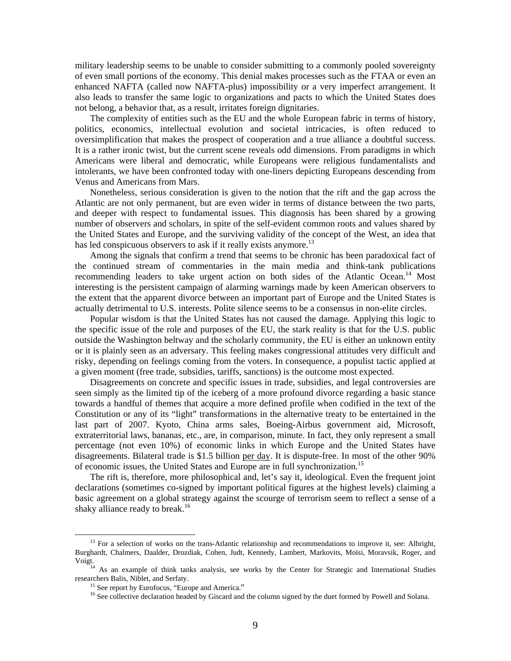military leadership seems to be unable to consider submitting to a commonly pooled sovereignty of even small portions of the economy. This denial makes processes such as the FTAA or even an enhanced NAFTA (called now NAFTA-plus) impossibility or a very imperfect arrangement. It also leads to transfer the same logic to organizations and pacts to which the United States does not belong, a behavior that, as a result, irritates foreign dignitaries.

The complexity of entities such as the EU and the whole European fabric in terms of history, politics, economics, intellectual evolution and societal intricacies, is often reduced to oversimplification that makes the prospect of cooperation and a true alliance a doubtful success. It is a rather ironic twist, but the current scene reveals odd dimensions. From paradigms in which Americans were liberal and democratic, while Europeans were religious fundamentalists and intolerants, we have been confronted today with one-liners depicting Europeans descending from Venus and Americans from Mars.

Nonetheless, serious consideration is given to the notion that the rift and the gap across the Atlantic are not only permanent, but are even wider in terms of distance between the two parts, and deeper with respect to fundamental issues. This diagnosis has been shared by a growing number of observers and scholars, in spite of the self-evident common roots and values shared by the United States and Europe, and the surviving validity of the concept of the West, an idea that has led conspicuous observers to ask if it really exists anymore.<sup>13</sup>

Among the signals that confirm a trend that seems to be chronic has been paradoxical fact of the continued stream of commentaries in the main media and think-tank publications recommending leaders to take urgent action on both sides of the Atlantic Ocean.<sup>14</sup> Most interesting is the persistent campaign of alarming warnings made by keen American observers to the extent that the apparent divorce between an important part of Europe and the United States is actually detrimental to U.S. interests. Polite silence seems to be a consensus in non-elite circles.

Popular wisdom is that the United States has not caused the damage. Applying this logic to the specific issue of the role and purposes of the EU, the stark reality is that for the U.S. public outside the Washington beltway and the scholarly community, the EU is either an unknown entity or it is plainly seen as an adversary. This feeling makes congressional attitudes very difficult and risky, depending on feelings coming from the voters. In consequence, a populist tactic applied at a given moment (free trade, subsidies, tariffs, sanctions) is the outcome most expected.

Disagreements on concrete and specific issues in trade, subsidies, and legal controversies are seen simply as the limited tip of the iceberg of a more profound divorce regarding a basic stance towards a handful of themes that acquire a more defined profile when codified in the text of the Constitution or any of its "light" transformations in the alternative treaty to be entertained in the last part of 2007. Kyoto, China arms sales, Boeing-Airbus government aid, Microsoft, extraterritorial laws, bananas, etc., are, in comparison, minute. In fact, they only represent a small percentage (not even 10%) of economic links in which Europe and the United States have disagreements. Bilateral trade is \$1.5 billion per day. It is dispute-free. In most of the other 90% of economic issues, the United States and Europe are in full synchronization.15

The rift is, therefore, more philosophical and, let's say it, ideological. Even the frequent joint declarations (sometimes co-signed by important political figures at the highest levels) claiming a basic agreement on a global strategy against the scourge of terrorism seem to reflect a sense of a shaky alliance ready to break.<sup>16</sup>

<sup>&</sup>lt;sup>13</sup> For a selection of works on the trans-Atlantic relationship and recommendations to improve it, see: Albright, Burghardt, Chalmers, Daalder, Drozdiak, Cohen, Judt, Kennedy, Lambert, Markovits, Moïsi, Moravsik, Roger, and

Voigt.<br><sup>14</sup> As an example of think tanks analysis, see works by the Center for Strategic and International Studies<br>researchers Balis, Niblet, and Serfaty.

<sup>&</sup>lt;sup>15</sup> See report by Eurofocus, "Europe and America."  $\frac{16}{16}$  See collective declaration headed by Giscard and the column signed by the duet formed by Powell and Solana.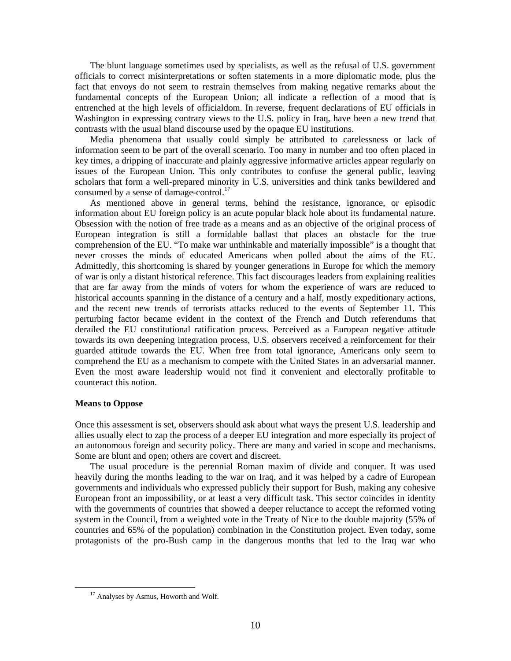The blunt language sometimes used by specialists, as well as the refusal of U.S. government officials to correct misinterpretations or soften statements in a more diplomatic mode, plus the fact that envoys do not seem to restrain themselves from making negative remarks about the fundamental concepts of the European Union; all indicate a reflection of a mood that is entrenched at the high levels of officialdom. In reverse, frequent declarations of EU officials in Washington in expressing contrary views to the U.S. policy in Iraq, have been a new trend that contrasts with the usual bland discourse used by the opaque EU institutions.

Media phenomena that usually could simply be attributed to carelessness or lack of information seem to be part of the overall scenario. Too many in number and too often placed in key times, a dripping of inaccurate and plainly aggressive informative articles appear regularly on issues of the European Union. This only contributes to confuse the general public, leaving scholars that form a well-prepared minority in U.S. universities and think tanks bewildered and consumed by a sense of damage-control.<sup>17</sup>

As mentioned above in general terms, behind the resistance, ignorance, or episodic information about EU foreign policy is an acute popular black hole about its fundamental nature. Obsession with the notion of free trade as a means and as an objective of the original process of European integration is still a formidable ballast that places an obstacle for the true comprehension of the EU. "To make war unthinkable and materially impossible" is a thought that never crosses the minds of educated Americans when polled about the aims of the EU. Admittedly, this shortcoming is shared by younger generations in Europe for which the memory of war is only a distant historical reference. This fact discourages leaders from explaining realities that are far away from the minds of voters for whom the experience of wars are reduced to historical accounts spanning in the distance of a century and a half, mostly expeditionary actions, and the recent new trends of terrorists attacks reduced to the events of September 11. This perturbing factor became evident in the context of the French and Dutch referendums that derailed the EU constitutional ratification process. Perceived as a European negative attitude towards its own deepening integration process, U.S. observers received a reinforcement for their guarded attitude towards the EU. When free from total ignorance, Americans only seem to comprehend the EU as a mechanism to compete with the United States in an adversarial manner. Even the most aware leadership would not find it convenient and electorally profitable to counteract this notion.

## **Means to Oppose**

Once this assessment is set, observers should ask about what ways the present U.S. leadership and allies usually elect to zap the process of a deeper EU integration and more especially its project of an autonomous foreign and security policy. There are many and varied in scope and mechanisms. Some are blunt and open; others are covert and discreet.

The usual procedure is the perennial Roman maxim of divide and conquer. It was used heavily during the months leading to the war on Iraq, and it was helped by a cadre of European governments and individuals who expressed publicly their support for Bush, making any cohesive European front an impossibility, or at least a very difficult task. This sector coincides in identity with the governments of countries that showed a deeper reluctance to accept the reformed voting system in the Council, from a weighted vote in the Treaty of Nice to the double majority (55% of countries and 65% of the population) combination in the Constitution project. Even today, some protagonists of the pro-Bush camp in the dangerous months that led to the Iraq war who

<sup>&</sup>lt;sup>17</sup> Analyses by Asmus, Howorth and Wolf.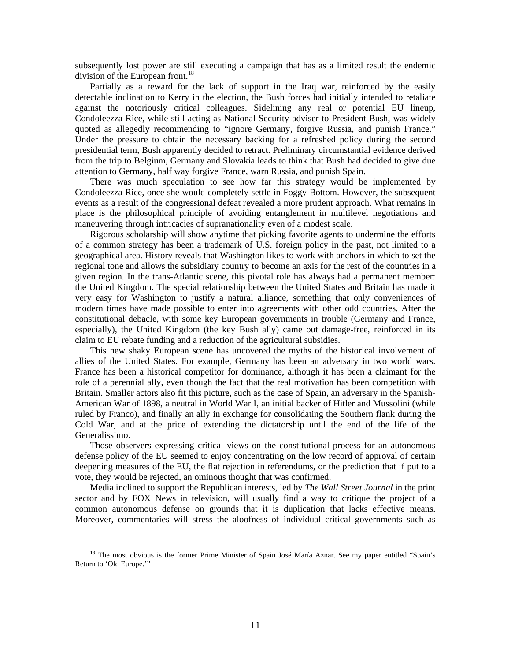subsequently lost power are still executing a campaign that has as a limited result the endemic division of the European front.<sup>18</sup>

Partially as a reward for the lack of support in the Iraq war, reinforced by the easily detectable inclination to Kerry in the election, the Bush forces had initially intended to retaliate against the notoriously critical colleagues. Sidelining any real or potential EU lineup, Condoleezza Rice, while still acting as National Security adviser to President Bush, was widely quoted as allegedly recommending to "ignore Germany, forgive Russia, and punish France." Under the pressure to obtain the necessary backing for a refreshed policy during the second presidential term, Bush apparently decided to retract. Preliminary circumstantial evidence derived from the trip to Belgium, Germany and Slovakia leads to think that Bush had decided to give due attention to Germany, half way forgive France, warn Russia, and punish Spain.

There was much speculation to see how far this strategy would be implemented by Condoleezza Rice, once she would completely settle in Foggy Bottom. However, the subsequent events as a result of the congressional defeat revealed a more prudent approach. What remains in place is the philosophical principle of avoiding entanglement in multilevel negotiations and maneuvering through intricacies of supranationality even of a modest scale.

Rigorous scholarship will show anytime that picking favorite agents to undermine the efforts of a common strategy has been a trademark of U.S. foreign policy in the past, not limited to a geographical area. History reveals that Washington likes to work with anchors in which to set the regional tone and allows the subsidiary country to become an axis for the rest of the countries in a given region. In the trans-Atlantic scene, this pivotal role has always had a permanent member: the United Kingdom. The special relationship between the United States and Britain has made it very easy for Washington to justify a natural alliance, something that only conveniences of modern times have made possible to enter into agreements with other odd countries. After the constitutional debacle, with some key European governments in trouble (Germany and France, especially), the United Kingdom (the key Bush ally) came out damage-free, reinforced in its claim to EU rebate funding and a reduction of the agricultural subsidies.

This new shaky European scene has uncovered the myths of the historical involvement of allies of the United States. For example, Germany has been an adversary in two world wars. France has been a historical competitor for dominance, although it has been a claimant for the role of a perennial ally, even though the fact that the real motivation has been competition with Britain. Smaller actors also fit this picture, such as the case of Spain, an adversary in the Spanish-American War of 1898, a neutral in World War I, an initial backer of Hitler and Mussolini (while ruled by Franco), and finally an ally in exchange for consolidating the Southern flank during the Cold War, and at the price of extending the dictatorship until the end of the life of the Generalissimo.

Those observers expressing critical views on the constitutional process for an autonomous defense policy of the EU seemed to enjoy concentrating on the low record of approval of certain deepening measures of the EU, the flat rejection in referendums, or the prediction that if put to a vote, they would be rejected, an ominous thought that was confirmed.

Media inclined to support the Republican interests, led by *The Wall Street Journal* in the print sector and by FOX News in television, will usually find a way to critique the project of a common autonomous defense on grounds that it is duplication that lacks effective means. Moreover, commentaries will stress the aloofness of individual critical governments such as

<sup>&</sup>lt;sup>18</sup> The most obvious is the former Prime Minister of Spain José María Aznar. See my paper entitled "Spain's Return to 'Old Europe.'"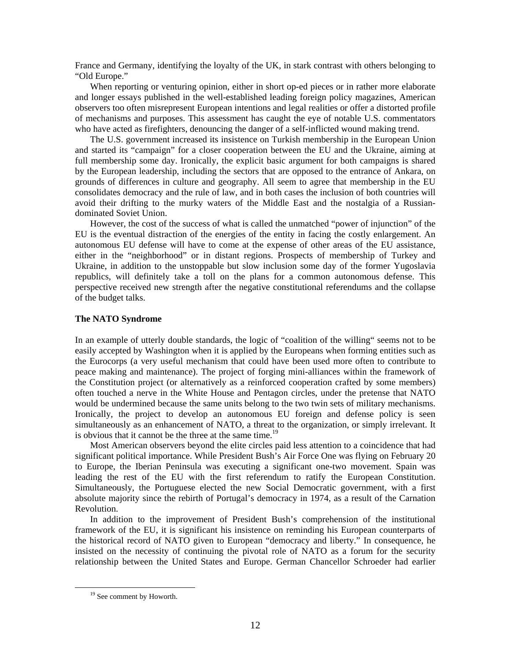France and Germany, identifying the loyalty of the UK, in stark contrast with others belonging to "Old Europe."

When reporting or venturing opinion, either in short op-ed pieces or in rather more elaborate and longer essays published in the well-established leading foreign policy magazines, American observers too often misrepresent European intentions and legal realities or offer a distorted profile of mechanisms and purposes. This assessment has caught the eye of notable U.S. commentators who have acted as firefighters, denouncing the danger of a self-inflicted wound making trend.

The U.S. government increased its insistence on Turkish membership in the European Union and started its "campaign" for a closer cooperation between the EU and the Ukraine, aiming at full membership some day. Ironically, the explicit basic argument for both campaigns is shared by the European leadership, including the sectors that are opposed to the entrance of Ankara, on grounds of differences in culture and geography. All seem to agree that membership in the EU consolidates democracy and the rule of law, and in both cases the inclusion of both countries will avoid their drifting to the murky waters of the Middle East and the nostalgia of a Russiandominated Soviet Union.

However, the cost of the success of what is called the unmatched "power of injunction" of the EU is the eventual distraction of the energies of the entity in facing the costly enlargement. An autonomous EU defense will have to come at the expense of other areas of the EU assistance, either in the "neighborhood" or in distant regions. Prospects of membership of Turkey and Ukraine, in addition to the unstoppable but slow inclusion some day of the former Yugoslavia republics, will definitely take a toll on the plans for a common autonomous defense. This perspective received new strength after the negative constitutional referendums and the collapse of the budget talks.

#### **The NATO Syndrome**

In an example of utterly double standards, the logic of "coalition of the willing" seems not to be easily accepted by Washington when it is applied by the Europeans when forming entities such as the Eurocorps (a very useful mechanism that could have been used more often to contribute to peace making and maintenance). The project of forging mini-alliances within the framework of the Constitution project (or alternatively as a reinforced cooperation crafted by some members) often touched a nerve in the White House and Pentagon circles, under the pretense that NATO would be undermined because the same units belong to the two twin sets of military mechanisms. Ironically, the project to develop an autonomous EU foreign and defense policy is seen simultaneously as an enhancement of NATO, a threat to the organization, or simply irrelevant. It is obvious that it cannot be the three at the same time.<sup>19</sup>

Most American observers beyond the elite circles paid less attention to a coincidence that had significant political importance. While President Bush's Air Force One was flying on February 20 to Europe, the Iberian Peninsula was executing a significant one-two movement. Spain was leading the rest of the EU with the first referendum to ratify the European Constitution. Simultaneously, the Portuguese elected the new Social Democratic government, with a first absolute majority since the rebirth of Portugal's democracy in 1974, as a result of the Carnation Revolution.

In addition to the improvement of President Bush's comprehension of the institutional framework of the EU, it is significant his insistence on reminding his European counterparts of the historical record of NATO given to European "democracy and liberty." In consequence, he insisted on the necessity of continuing the pivotal role of NATO as a forum for the security relationship between the United States and Europe. German Chancellor Schroeder had earlier

<sup>&</sup>lt;sup>19</sup> See comment by Howorth.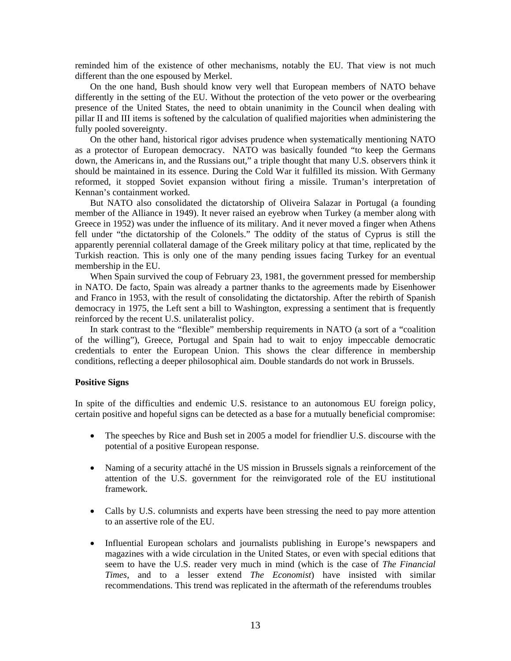reminded him of the existence of other mechanisms, notably the EU. That view is not much different than the one espoused by Merkel.

On the one hand, Bush should know very well that European members of NATO behave differently in the setting of the EU. Without the protection of the veto power or the overbearing presence of the United States, the need to obtain unanimity in the Council when dealing with pillar II and III items is softened by the calculation of qualified majorities when administering the fully pooled sovereignty.

On the other hand, historical rigor advises prudence when systematically mentioning NATO as a protector of European democracy. NATO was basically founded "to keep the Germans down, the Americans in, and the Russians out," a triple thought that many U.S. observers think it should be maintained in its essence. During the Cold War it fulfilled its mission. With Germany reformed, it stopped Soviet expansion without firing a missile. Truman's interpretation of Kennan's containment worked.

But NATO also consolidated the dictatorship of Oliveira Salazar in Portugal (a founding member of the Alliance in 1949). It never raised an eyebrow when Turkey (a member along with Greece in 1952) was under the influence of its military. And it never moved a finger when Athens fell under "the dictatorship of the Colonels." The oddity of the status of Cyprus is still the apparently perennial collateral damage of the Greek military policy at that time, replicated by the Turkish reaction. This is only one of the many pending issues facing Turkey for an eventual membership in the EU.

When Spain survived the coup of February 23, 1981, the government pressed for membership in NATO. De facto, Spain was already a partner thanks to the agreements made by Eisenhower and Franco in 1953, with the result of consolidating the dictatorship. After the rebirth of Spanish democracy in 1975, the Left sent a bill to Washington, expressing a sentiment that is frequently reinforced by the recent U.S. unilateralist policy.

In stark contrast to the "flexible" membership requirements in NATO (a sort of a "coalition of the willing"), Greece, Portugal and Spain had to wait to enjoy impeccable democratic credentials to enter the European Union. This shows the clear difference in membership conditions, reflecting a deeper philosophical aim. Double standards do not work in Brussels.

#### **Positive Signs**

In spite of the difficulties and endemic U.S. resistance to an autonomous EU foreign policy, certain positive and hopeful signs can be detected as a base for a mutually beneficial compromise:

- The speeches by Rice and Bush set in 2005 a model for friendlier U.S. discourse with the potential of a positive European response.
- Naming of a security attaché in the US mission in Brussels signals a reinforcement of the attention of the U.S. government for the reinvigorated role of the EU institutional framework.
- Calls by U.S. columnists and experts have been stressing the need to pay more attention to an assertive role of the EU.
- Influential European scholars and journalists publishing in Europe's newspapers and magazines with a wide circulation in the United States, or even with special editions that seem to have the U.S. reader very much in mind (which is the case of *The Financial Times*, and to a lesser extend *The Economist*) have insisted with similar recommendations. This trend was replicated in the aftermath of the referendums troubles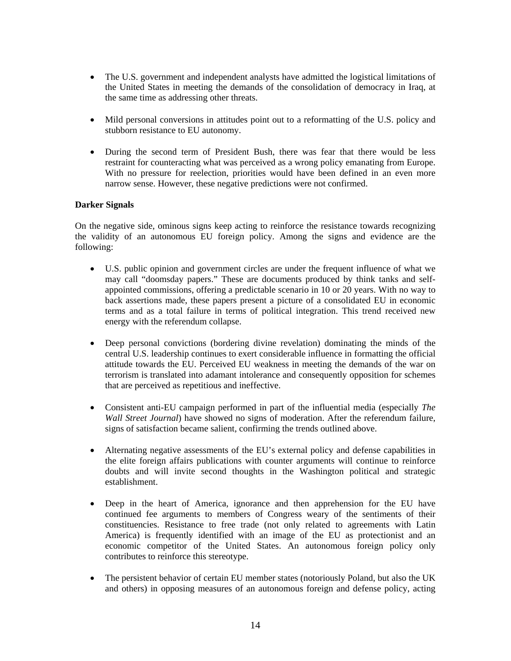- The U.S. government and independent analysts have admitted the logistical limitations of the United States in meeting the demands of the consolidation of democracy in Iraq, at the same time as addressing other threats.
- Mild personal conversions in attitudes point out to a reformatting of the U.S. policy and stubborn resistance to EU autonomy.
- During the second term of President Bush, there was fear that there would be less restraint for counteracting what was perceived as a wrong policy emanating from Europe. With no pressure for reelection, priorities would have been defined in an even more narrow sense. However, these negative predictions were not confirmed.

# **Darker Signals**

On the negative side, ominous signs keep acting to reinforce the resistance towards recognizing the validity of an autonomous EU foreign policy. Among the signs and evidence are the following:

- U.S. public opinion and government circles are under the frequent influence of what we may call "doomsday papers." These are documents produced by think tanks and selfappointed commissions, offering a predictable scenario in 10 or 20 years. With no way to back assertions made, these papers present a picture of a consolidated EU in economic terms and as a total failure in terms of political integration. This trend received new energy with the referendum collapse.
- Deep personal convictions (bordering divine revelation) dominating the minds of the central U.S. leadership continues to exert considerable influence in formatting the official attitude towards the EU. Perceived EU weakness in meeting the demands of the war on terrorism is translated into adamant intolerance and consequently opposition for schemes that are perceived as repetitious and ineffective.
- Consistent anti-EU campaign performed in part of the influential media (especially *The Wall Street Journal*) have showed no signs of moderation. After the referendum failure, signs of satisfaction became salient, confirming the trends outlined above.
- Alternating negative assessments of the EU's external policy and defense capabilities in the elite foreign affairs publications with counter arguments will continue to reinforce doubts and will invite second thoughts in the Washington political and strategic establishment.
- Deep in the heart of America, ignorance and then apprehension for the EU have continued fee arguments to members of Congress weary of the sentiments of their constituencies. Resistance to free trade (not only related to agreements with Latin America) is frequently identified with an image of the EU as protectionist and an economic competitor of the United States. An autonomous foreign policy only contributes to reinforce this stereotype.
- The persistent behavior of certain EU member states (notoriously Poland, but also the UK and others) in opposing measures of an autonomous foreign and defense policy, acting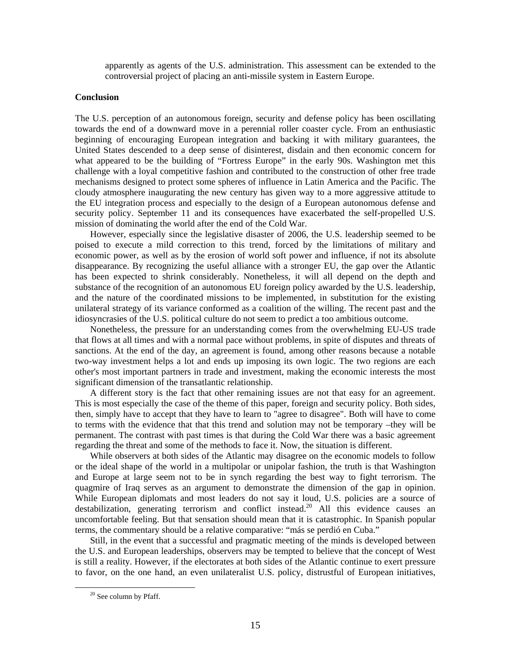apparently as agents of the U.S. administration. This assessment can be extended to the controversial project of placing an anti-missile system in Eastern Europe.

## **Conclusion**

The U.S. perception of an autonomous foreign, security and defense policy has been oscillating towards the end of a downward move in a perennial roller coaster cycle. From an enthusiastic beginning of encouraging European integration and backing it with military guarantees, the United States descended to a deep sense of disinterest, disdain and then economic concern for what appeared to be the building of "Fortress Europe" in the early 90s. Washington met this challenge with a loyal competitive fashion and contributed to the construction of other free trade mechanisms designed to protect some spheres of influence in Latin America and the Pacific. The cloudy atmosphere inaugurating the new century has given way to a more aggressive attitude to the EU integration process and especially to the design of a European autonomous defense and security policy. September 11 and its consequences have exacerbated the self-propelled U.S. mission of dominating the world after the end of the Cold War.

However, especially since the legislative disaster of 2006, the U.S. leadership seemed to be poised to execute a mild correction to this trend, forced by the limitations of military and economic power, as well as by the erosion of world soft power and influence, if not its absolute disappearance. By recognizing the useful alliance with a stronger EU, the gap over the Atlantic has been expected to shrink considerably. Nonetheless, it will all depend on the depth and substance of the recognition of an autonomous EU foreign policy awarded by the U.S. leadership, and the nature of the coordinated missions to be implemented, in substitution for the existing unilateral strategy of its variance conformed as a coalition of the willing. The recent past and the idiosyncrasies of the U.S. political culture do not seem to predict a too ambitious outcome.

Nonetheless, the pressure for an understanding comes from the overwhelming EU-US trade that flows at all times and with a normal pace without problems, in spite of disputes and threats of sanctions. At the end of the day, an agreement is found, among other reasons because a notable two-way investment helps a lot and ends up imposing its own logic. The two regions are each other's most important partners in trade and investment, making the economic interests the most significant dimension of the transatlantic relationship.

A different story is the fact that other remaining issues are not that easy for an agreement. This is most especially the case of the theme of this paper, foreign and security policy. Both sides, then, simply have to accept that they have to learn to "agree to disagree". Both will have to come to terms with the evidence that that this trend and solution may not be temporary –they will be permanent. The contrast with past times is that during the Cold War there was a basic agreement regarding the threat and some of the methods to face it. Now, the situation is different.

While observers at both sides of the Atlantic may disagree on the economic models to follow or the ideal shape of the world in a multipolar or unipolar fashion, the truth is that Washington and Europe at large seem not to be in synch regarding the best way to fight terrorism. The quagmire of Iraq serves as an argument to demonstrate the dimension of the gap in opinion. While European diplomats and most leaders do not say it loud, U.S. policies are a source of destabilization, generating terrorism and conflict instead.<sup>20</sup> All this evidence causes an uncomfortable feeling. But that sensation should mean that it is catastrophic. In Spanish popular terms, the commentary should be a relative comparative: "más se perdió en Cuba."

Still, in the event that a successful and pragmatic meeting of the minds is developed between the U.S. and European leaderships, observers may be tempted to believe that the concept of West is still a reality. However, if the electorates at both sides of the Atlantic continue to exert pressure to favor, on the one hand, an even unilateralist U.S. policy, distrustful of European initiatives,

 <sup>20</sup> See column by Pfaff.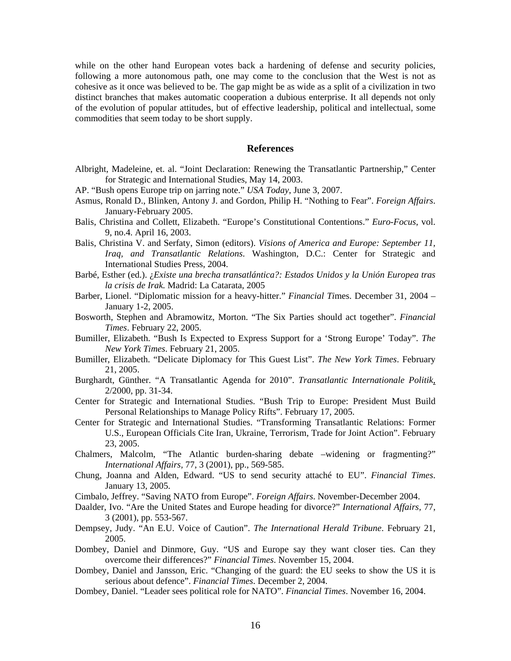while on the other hand European votes back a hardening of defense and security policies, following a more autonomous path, one may come to the conclusion that the West is not as cohesive as it once was believed to be. The gap might be as wide as a split of a civilization in two distinct branches that makes automatic cooperation a dubious enterprise. It all depends not only of the evolution of popular attitudes, but of effective leadership, political and intellectual, some commodities that seem today to be short supply.

## **References**

- Albright, Madeleine, et. al. "Joint Declaration: Renewing the Transatlantic Partnership," Center for Strategic and International Studies, May 14, 2003.
- AP. "Bush opens Europe trip on jarring note." *USA Today*, June 3, 2007.
- Asmus, Ronald D., Blinken, Antony J. and Gordon, Philip H. "Nothing to Fear". *Foreign Affairs*. January-February 2005.
- Balis, Christina and Collett, Elizabeth. "Europe's Constitutional Contentions." *Euro-Focus*, vol. 9, no.4. April 16, 2003.
- Balis, Christina V. and Serfaty, Simon (editors). *Visions of America and Europe: September 11, Iraq, and Transatlantic Relations*. Washington, D.C.: Center for Strategic and International Studies Press, 2004.
- Barbé, Esther (ed.). ¿*Existe una brecha transatlántica?: Estados Unidos y la Unión Europea tras la crisis de Irak.* Madrid: La Catarata, 2005
- Barber, Lionel. "Diplomatic mission for a heavy-hitter." *Financial Ti*mes. December 31, 2004 January 1-2, 2005.
- Bosworth, Stephen and Abramowitz, Morton. "The Six Parties should act together". *Financial Times*. February 22, 2005.
- Bumiller, Elizabeth. "Bush Is Expected to Express Support for a 'Strong Europe' Today". *The New York Times*. February 21, 2005.
- Bumiller, Elizabeth. "Delicate Diplomacy for This Guest List". *The New York Times*. February 21, 2005.
- Burghardt, Günther. "A Transatlantic Agenda for 2010". *Transatlantic Internationale Politik*, 2/2000, pp. 31-34.
- Center for Strategic and International Studies. "Bush Trip to Europe: President Must Build Personal Relationships to Manage Policy Rifts". February 17, 2005.
- Center for Strategic and International Studies. "Transforming Transatlantic Relations: Former U.S., European Officials Cite Iran, Ukraine, Terrorism, Trade for Joint Action". February 23, 2005.
- Chalmers, Malcolm, "The Atlantic burden-sharing debate –widening or fragmenting?" *International Affairs,* 77, 3 (2001), pp., 569-585.
- Chung, Joanna and Alden, Edward. "US to send security attaché to EU". *Financial Times*. January 13, 2005.
- Cimbalo, Jeffrey. "Saving NATO from Europe". *Foreign Affairs*. November-December 2004.
- Daalder, Ivo. "Are the United States and Europe heading for divorce?" *International Affairs,* 77, 3 (2001), pp. 553-567.
- Dempsey, Judy. "An E.U. Voice of Caution". *The International Herald Tribune*. February 21, 2005.
- Dombey, Daniel and Dinmore, Guy. "US and Europe say they want closer ties. Can they overcome their differences?" *Financial Times*. November 15, 2004.
- Dombey, Daniel and Jansson, Eric. "Changing of the guard: the EU seeks to show the US it is serious about defence". *Financial Times*. December 2, 2004.
- Dombey, Daniel. "Leader sees political role for NATO". *Financial Times*. November 16, 2004.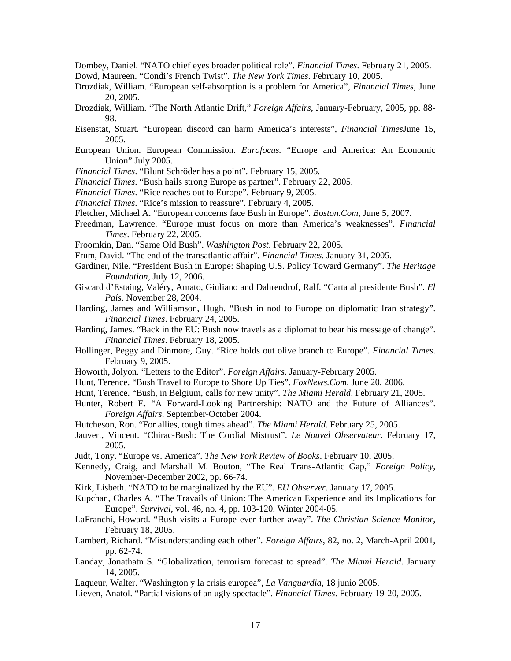Dombey, Daniel. "NATO chief eyes broader political role". *Financial Times*. February 21, 2005.

- Dowd, Maureen. "Condi's French Twist". *The New York Times*. February 10, 2005.
- Drozdiak, William. "European self-absorption is a problem for America", *Financial Times*, June 20, 2005.
- Drozdiak, William. "The North Atlantic Drift," *Foreign Affairs*, January-February, 2005, pp. 88- 98.
- Eisenstat, Stuart. "European discord can harm America's interests", *Financial Times*June 15, 2005.
- European Union. European Commission. *Eurofocus.* "Europe and America: An Economic Union" July 2005.
- *Financial Times*. "Blunt Schröder has a point". February 15, 2005.
- *Financial Times*. "Bush hails strong Europe as partner". February 22, 2005.
- *Financial Times*. "Rice reaches out to Europe". February 9, 2005.
- *Financial Times*. "Rice's mission to reassure". February 4, 2005.
- Fletcher, Michael A. "European concerns face Bush in Europe". *Boston.Com*, June 5, 2007.
- Freedman, Lawrence. "Europe must focus on more than America's weaknesses". *Financial Times*. February 22, 2005.
- Froomkin, Dan. "Same Old Bush". *Washington Post*. February 22, 2005.
- Frum, David. "The end of the transatlantic affair". *Financial Times*. January 31, 2005.
- Gardiner, Nile. "President Bush in Europe: Shaping U.S. Policy Toward Germany". *The Heritage Foundation*, July 12, 2006.
- Giscard d'Estaing, Valéry, Amato, Giuliano and Dahrendrof, Ralf. "Carta al presidente Bush". *El País*. November 28, 2004.
- Harding, James and Williamson, Hugh. "Bush in nod to Europe on diplomatic Iran strategy". *Financial Times*. February 24, 2005.
- Harding, James. "Back in the EU: Bush now travels as a diplomat to bear his message of change". *Financial Times*. February 18, 2005.
- Hollinger, Peggy and Dinmore, Guy. "Rice holds out olive branch to Europe". *Financial Times*. February 9, 2005.
- Howorth, Jolyon. "Letters to the Editor". *Foreign Affairs*. January-February 2005.
- Hunt, Terence. "Bush Travel to Europe to Shore Up Ties". *FoxNews.Com*, June 20, 2006.
- Hunt, Terence. "Bush, in Belgium, calls for new unity". *The Miami Herald*. February 21, 2005.
- Hunter, Robert E. "A Forward-Looking Partnership: NATO and the Future of Alliances". *Foreign Affairs*. September-October 2004.
- Hutcheson, Ron. "For allies, tough times ahead". *The Miami Herald*. February 25, 2005.
- Jauvert, Vincent. "Chirac-Bush: The Cordial Mistrust". *Le Nouvel Observateur*. February 17, 2005.
- Judt, Tony. "Europe vs. America". *The New York Review of Books*. February 10, 2005.
- Kennedy, Craig, and Marshall M. Bouton, "The Real Trans-Atlantic Gap," *Foreign Policy*, November-December 2002, pp. 66-74.
- Kirk, Lisbeth. "NATO to be marginalized by the EU". *EU Observer*. January 17, 2005.
- Kupchan, Charles A. "The Travails of Union: The American Experience and its Implications for Europe". *Survival*, vol. 46, no. 4, pp. 103-120. Winter 2004-05.
- LaFranchi, Howard. "Bush visits a Europe ever further away". *The Christian Science Monitor*, February 18, 2005.
- Lambert, Richard. "Misunderstanding each other". *Foreign Affairs*, 82, no. 2, March-April 2001, pp. 62-74.
- Landay, Jonathatn S. "Globalization, terrorism forecast to spread". *The Miami Herald*. January 14, 2005.
- Laqueur, Walter. "Washington y la crisis europea", *La Vanguardia*, 18 junio 2005.
- Lieven, Anatol. "Partial visions of an ugly spectacle". *Financial Times*. February 19-20, 2005.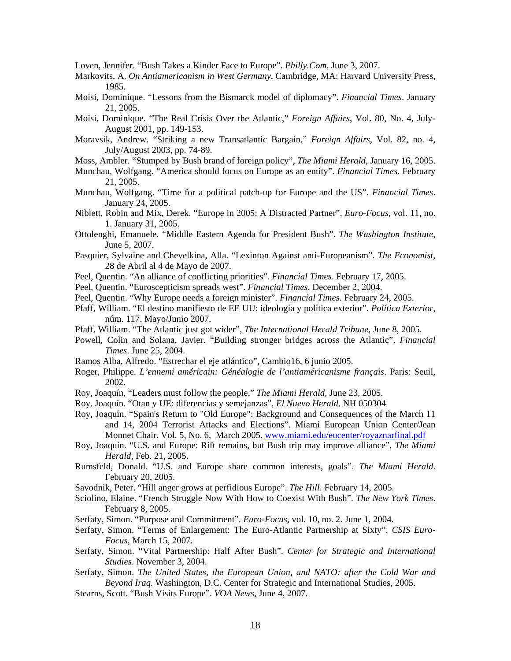Loven, Jennifer. "Bush Takes a Kinder Face to Europe". *Philly.Com*, June 3, 2007.

- Markovits, A. *On Antiamericanism in West Germany*, Cambridge, MA: Harvard University Press, 1985.
- Moisi, Dominique. "Lessons from the Bismarck model of diplomacy". *Financial Times*. January 21, 2005.
- Moïsi, Dominique. "The Real Crisis Over the Atlantic," *Foreign Affairs*, Vol. 80, No. 4, July-August 2001, pp. 149-153.
- Moravsik, Andrew. "Striking a new Transatlantic Bargain," *Foreign Affairs*, Vol. 82, no. 4, July/August 2003, pp. 74-89.
- Moss, Ambler. "Stumped by Bush brand of foreign policy", *The Miami Herald*, January 16, 2005.
- Munchau, Wolfgang. "America should focus on Europe as an entity". *Financial Times*. February 21, 2005.
- Munchau, Wolfgang. "Time for a political patch-up for Europe and the US". *Financial Times*. January 24, 2005.
- Niblett, Robin and Mix, Derek. "Europe in 2005: A Distracted Partner". *Euro-Focus*, vol. 11, no. 1. January 31, 2005.
- Ottolenghi, Emanuele. "Middle Eastern Agenda for President Bush". *The Washington Institute*, June 5, 2007.
- Pasquier, Sylvaine and Chevelkina, Alla. "Lexinton Against anti-Europeanism". *The Economist*, 28 de Abril al 4 de Mayo de 2007.
- Peel, Quentin. "An alliance of conflicting priorities". *Financial Times*. February 17, 2005.
- Peel, Quentin. "Euroscepticism spreads west". *Financial Times*. December 2, 2004.
- Peel, Quentin. "Why Europe needs a foreign minister". *Financial Times*. February 24, 2005.
- Pfaff, William. "El destino manifiesto de EE UU: ideología y política exterior". *Política Exterior*, núm. 117. Mayo/Junio 2007.
- Pfaff, William. "The Atlantic just got wider", *The International Herald Tribune*, June 8, 2005.
- Powell, Colin and Solana, Javier. "Building stronger bridges across the Atlantic". *Financial Times*. June 25, 2004.
- Ramos Alba, Alfredo. "Estrechar el eje atlántico", Cambio16, 6 junio 2005.
- Roger, Philippe. *L'ennemi américain: Généalogie de l'antiaméricanisme français*. Paris: Seuil, 2002.
- Roy, Joaquín, "Leaders must follow the people," *The Miami Herald*, June 23, 2005.
- Roy, Joaquín. "Otan y UE: diferencias y semejanzas", *El Nuevo Herald*, NH 050304
- Roy, Joaquín. "Spain's Return to "Old Europe": Background and Consequences of the March 11 and 14, 2004 Terrorist Attacks and Elections". Miami European Union Center/Jean Monnet Chair. Vol. 5, No. 6, March 2005. www.miami.edu/eucenter/royaznarfinal.pdf
- Roy, Joaquín. "U.S. and Europe: Rift remains, but Bush trip may improve alliance", *The Miami Herald*, Feb. 21, 2005.
- Rumsfeld, Donald. "U.S. and Europe share common interests, goals". *The Miami Herald*. February 20, 2005.
- Savodnik, Peter. "Hill anger grows at perfidious Europe". *The Hill*. February 14, 2005.
- Sciolino, Elaine. "French Struggle Now With How to Coexist With Bush". *The New York Times*. February 8, 2005.
- Serfaty, Simon. "Purpose and Commitment". *Euro-Focus*, vol. 10, no. 2. June 1, 2004.
- Serfaty, Simon. "Terms of Enlargement: The Euro-Atlantic Partnership at Sixty". *CSIS Euro-Focus*, March 15, 2007.
- Serfaty, Simon. "Vital Partnership: Half After Bush". *Center for Strategic and International Studies*. November 3, 2004.
- Serfaty, Simon. *The United States, the European Union, and NATO: after the Cold War and Beyond Iraq.* Washington, D.C. Center for Strategic and International Studies, 2005.
- Stearns, Scott. "Bush Visits Europe". *VOA News*, June 4, 2007.